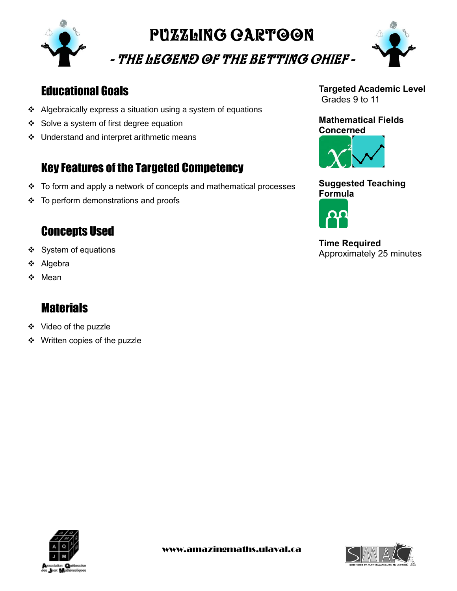

# PUZZLING CARTOON

- The Legend of the Betting Chief -



## Educational Goals

- Algebraically express a situation using a system of equations
- ❖ Solve a system of first degree equation
- ❖ Understand and interpret arithmetic means

# Key Features of the Targeted Competency

- To form and apply a network of concepts and mathematical processes
- ❖ To perform demonstrations and proofs

### **Concepts Used**

- ❖ System of equations
- ❖ Algebra
- ❖ Mean

### **Materials**

- ❖ Video of the puzzle
- ❖ Written copies of the puzzle

#### **Targeted Academic Level** Grades 9 to 11

#### **Mathematical Fields Concerned**



#### **Suggested Teaching Formula**



**Time Required** Approximately 25 minutes